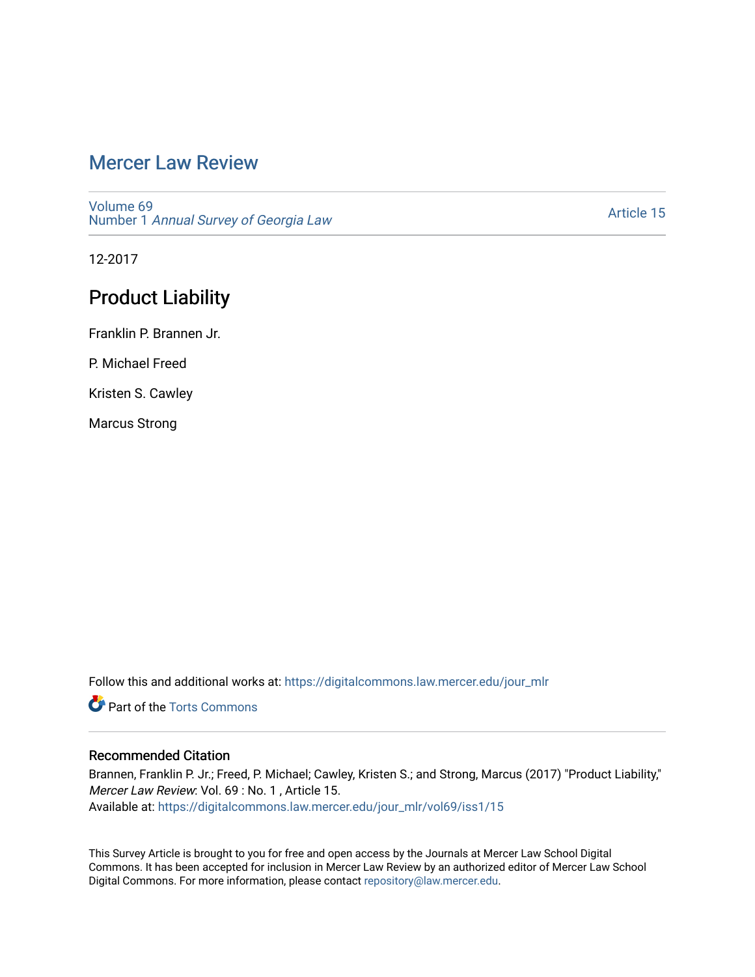# [Mercer Law Review](https://digitalcommons.law.mercer.edu/jour_mlr)

[Volume 69](https://digitalcommons.law.mercer.edu/jour_mlr/vol69) Number 1 [Annual Survey of Georgia Law](https://digitalcommons.law.mercer.edu/jour_mlr/vol69/iss1) 

[Article 15](https://digitalcommons.law.mercer.edu/jour_mlr/vol69/iss1/15) 

12-2017

# Product Liability

Franklin P. Brannen Jr.

P. Michael Freed

Kristen S. Cawley

Marcus Strong

Follow this and additional works at: [https://digitalcommons.law.mercer.edu/jour\\_mlr](https://digitalcommons.law.mercer.edu/jour_mlr?utm_source=digitalcommons.law.mercer.edu%2Fjour_mlr%2Fvol69%2Fiss1%2F15&utm_medium=PDF&utm_campaign=PDFCoverPages)

**C** Part of the [Torts Commons](http://network.bepress.com/hgg/discipline/913?utm_source=digitalcommons.law.mercer.edu%2Fjour_mlr%2Fvol69%2Fiss1%2F15&utm_medium=PDF&utm_campaign=PDFCoverPages)

## Recommended Citation

Brannen, Franklin P. Jr.; Freed, P. Michael; Cawley, Kristen S.; and Strong, Marcus (2017) "Product Liability," Mercer Law Review: Vol. 69 : No. 1 , Article 15. Available at: [https://digitalcommons.law.mercer.edu/jour\\_mlr/vol69/iss1/15](https://digitalcommons.law.mercer.edu/jour_mlr/vol69/iss1/15?utm_source=digitalcommons.law.mercer.edu%2Fjour_mlr%2Fvol69%2Fiss1%2F15&utm_medium=PDF&utm_campaign=PDFCoverPages) 

This Survey Article is brought to you for free and open access by the Journals at Mercer Law School Digital Commons. It has been accepted for inclusion in Mercer Law Review by an authorized editor of Mercer Law School Digital Commons. For more information, please contact [repository@law.mercer.edu](mailto:repository@law.mercer.edu).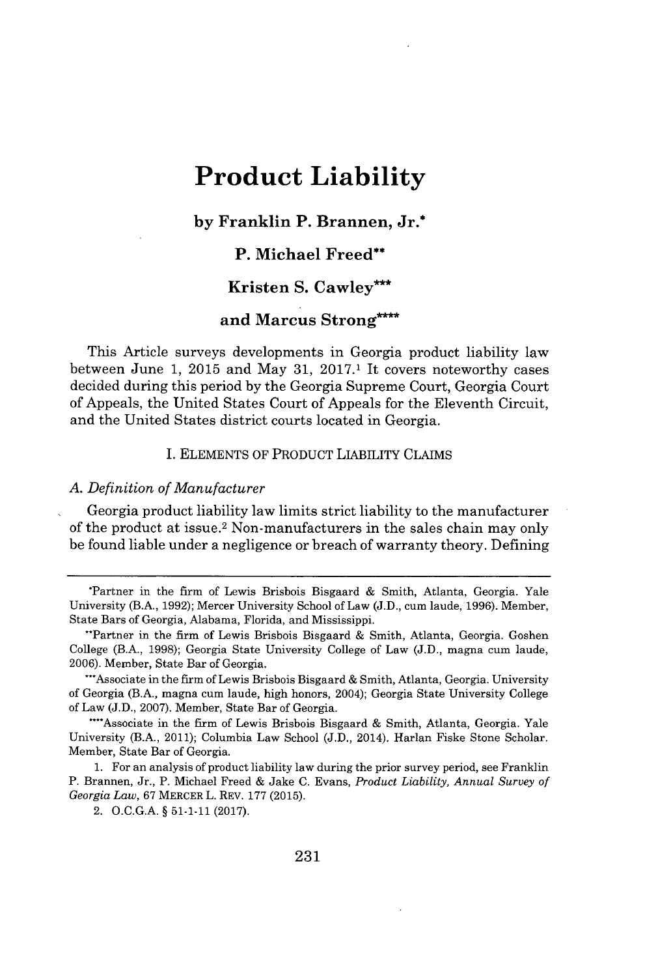# **Product Liability**

## **by Franklin P. Brannen, Jr.\***

## **P. Michael Freed\*\***

# **Kristen S. Cawley'**

# **and Marcus Strong\***

This Article surveys developments in Georgia product liability law between June **1, 2015** and May **31, 2017.1** It covers noteworthy cases decided during this period **by** the Georgia Supreme Court, Georgia Court of Appeals, the United States Court of Appeals for the Eleventh Circuit, and the United States district courts located in Georgia.

#### **I. ELEMENTS** OF PRODUCT LIABILITY CLAIMS

### *A. Definition of Manufacturer*

Georgia product liability law limits strict liability to the manufacturer of the product at issue.<sup>2</sup> Non-manufacturers in the sales chain may only be found liable under a negligence or breach of warranty theory. Defining

\*"Associate in the firm of Lewis Brisbois Bisgaard **&** Smith, Atlanta, Georgia. University of Georgia (B.A., magna cum laude, high honors, 2004); Georgia State University College of Law **(J.D., 2007).** Member, State Bar of Georgia.

**1.** For an analysis of product liability law during the prior survey period, see Franklin P. Brannen, Jr., P. Michael Freed **&** Jake **C.** Evans, *Product Liability, Annual Survey of Georgia Law,* **67** MERCER L. REV. **177 (2015).**

2. **O.C.G.A. § 51-1-11 (2017).**

<sup>\*</sup>Partner in the firm of Lewis Brisbois Bisgaard **&** Smith, Atlanta, Georgia. Yale University (B.A., **1992);** Mercer University School of Law *(J.D.,* cum laude, **1996).** Member, State Bars of Georgia, Alabama, Florida, and Mississippi.

<sup>&</sup>quot;Partner in the firm of Lewis Brisbois Bisgaard **&** Smith, Atlanta, Georgia. Goshen College (B.A., **1998);** Georgia State University College of Law **(J.D.,** magna cum laude, **2006).** Member, State Bar of Georgia.

<sup>&</sup>quot;"Associate in the firm of Lewis Brisbois Bisgaard **&** Smith, Atlanta, Georgia. Yale University (B.A., 2011); Columbia Law School **(J.D.,** 2014). Harlan Fiske Stone Scholar. Member, State Bar of Georgia.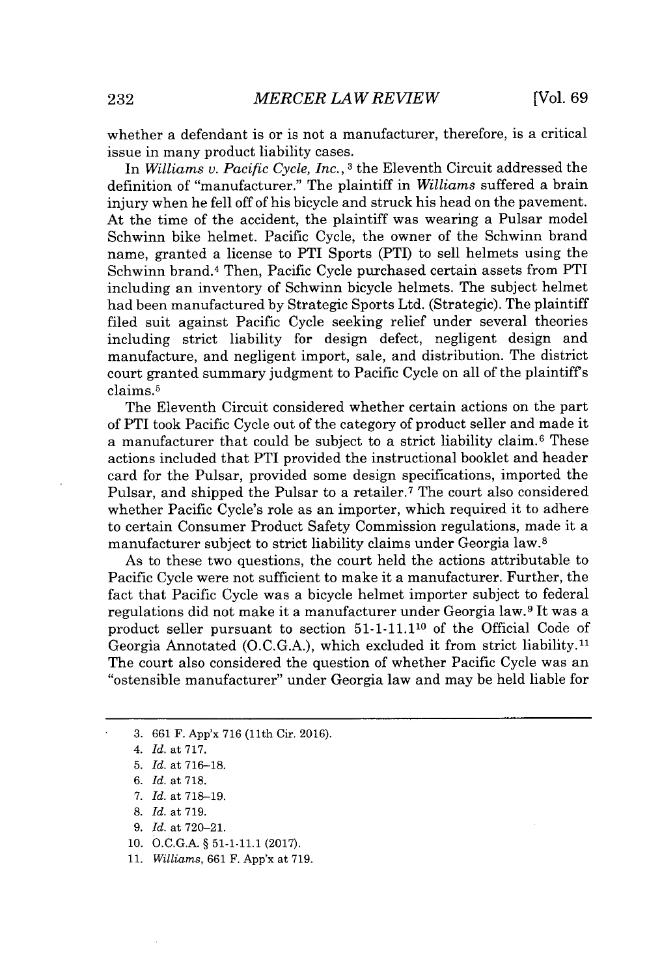whether a defendant is or is not a manufacturer, therefore, is a critical issue in many product liability cases.

In *Williams v. Pacific Cycle, Inc.,* **3** the Eleventh Circuit addressed the definition of "manufacturer." The plaintiff in *Williams* suffered a brain injury when he fell off of his bicycle and struck his head on the pavement. At the time of the accident, the plaintiff was wearing a Pulsar model Schwinn bike helmet. Pacific Cycle, the owner of the Schwinn brand name, granted a license to PTI Sports (PTI) to sell helmets using the Schwinn brand.<sup>4</sup> Then, Pacific Cycle purchased certain assets from PTI including an inventory of Schwinn bicycle helmets. The subject helmet had been manufactured **by** Strategic Sports Ltd. (Strategic). The plaintiff filed suit against Pacific Cycle seeking relief under several theories including strict liability for design defect, negligent design and manufacture, and negligent import, sale, and distribution. The district court granted summary judgment to Pacific Cycle on all of the plaintiffs claims.<sup>5</sup>

The Eleventh Circuit considered whether certain actions on the part of PTI took Pacific Cycle out of the category of product seller and made it a manufacturer that could be subject to a strict liability claim.<sup>6</sup> These actions included that PTI provided the instructional booklet and header card for the Pulsar, provided some design specifications, imported the Pulsar, and shipped the Pulsar to a retailer.<sup>7</sup> The court also considered whether Pacific Cycle's role as an importer, which required it to adhere to certain Consumer Product Safety Commission regulations, made it a manufacturer subject to strict liability claims under Georgia law.<sup>8</sup>

As to these two questions, the court held the actions attributable to Pacific Cycle were not sufficient to make it a manufacturer. Further, the fact that Pacific Cycle was a bicycle helmet importer subject to federal regulations did not make it a manufacturer under Georgia law.<sup>9</sup> It was a product seller pursuant to section **51-1-11.110** of the Official Code of Georgia Annotated (O.C.G.A.), which excluded it from strict liability.<sup>11</sup> The court also considered the question of whether Pacific Cycle was an "ostensible manufacturer" under Georgia law and may be held liable for

- **7.** *Id. at* **718-19.**
- **8.** *Id. at* **719.**
- *9. Id. at* **720-21.**
- 10. **O.C.G.A. § 51-1-11.1 (2017).**

**11.** *Williams,* **661** F. App'x at **719.**

**<sup>3. 661</sup>** F. App'x **716** (11th Cir. **2016).**

*<sup>4.</sup> Id.* at **717.**

**<sup>5.</sup>** *Id. at* **716-18.**

*<sup>6.</sup> Id. at* **718.**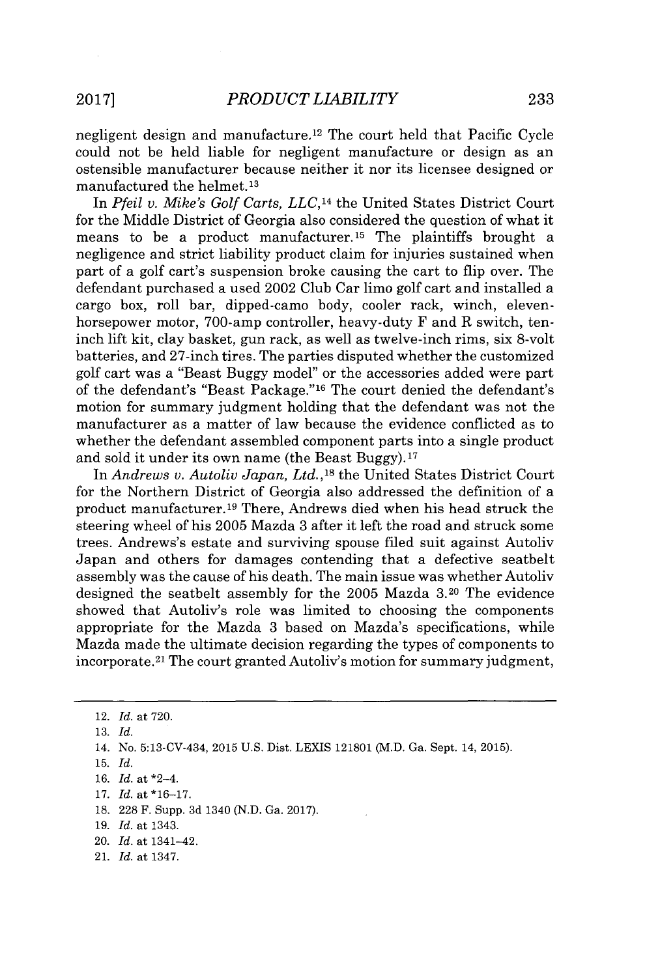negligent design and manufacture.<sup>12</sup> The court held that Pacific Cycle could not be held liable for negligent manufacture or design as an ostensible manufacturer because neither it nor its licensee designed or manufactured the helmet.13

In *Pfeil v. Mike's Golf Carts, LLC,14* the United States District Court for the Middle District of Georgia also considered the question of what it means to be a product manufacturer.<sup>15</sup> The plaintiffs brought a negligence and strict liability product claim for injuries sustained when part of a golf cart's suspension broke causing the cart to flip over. The defendant purchased a used 2002 Club Car limo golf cart and installed a cargo box, roll bar, dipped-camo body, cooler rack, winch, elevenhorsepower motor, 700-amp controller, heavy-duty F and R switch, teninch **lift** kit, clay basket, gun rack, as well as twelve-inch rims, six 8-volt batteries, and 27-inch tires. The parties disputed whether the customized golf cart was a "Beast Buggy model" or the accessories added were part of the defendant's "Beast Package."<sup>16</sup> The court denied the defendant's motion for summary judgment holding that the defendant was not the manufacturer as a matter of law because the evidence conflicted as to whether the defendant assembled component parts into a single product and sold it under its own name (the Beast Buggy). $17$ 

*In Andrews v. Autoliv Japan,* Ltd.,18 the United States District Court for the Northern District of Georgia also addressed the definition of a product manufacturer.<sup>19</sup> There, Andrews died when his head struck the steering wheel of his **2005** Mazda **3** after it left the road and struck some trees. Andrews's estate and surviving spouse filed suit against Autoliv Japan and others for damages contending that a defective seatbelt assembly was the cause of his death. The main issue was whether Autoliv designed the seatbelt assembly for the **2005** Mazda **3.20** The evidence showed that Autoliv's role was limited to choosing the components appropriate for the Mazda **3** based on Mazda's specifications, while Mazda made the ultimate decision regarding the types of components to incorporate. <sup>2</sup> 1 The court granted Autoliv's motion for summary judgment,

**19.** *Id.* at 1343.

21. *Id.* at 1347.

<sup>12.</sup> *Id.* at **720.**

**<sup>13.</sup>** *Id.*

<sup>14.</sup> No. 5:13-CV-434, 2015 **U.S.** Dist. LEXIS **121801** (M.D. Ga. Sept. 14, **2015).**

**<sup>15.</sup>** *Id.*

**<sup>16.</sup>** *Id.* at \*2-4.

**<sup>17.</sup>** *Id.* at **\*16-17.**

**<sup>18. 228</sup>** F. Supp. **3d** 1340 **(N.D.** Ga. **2017).**

<sup>20.</sup> *Id.* at 1341-42.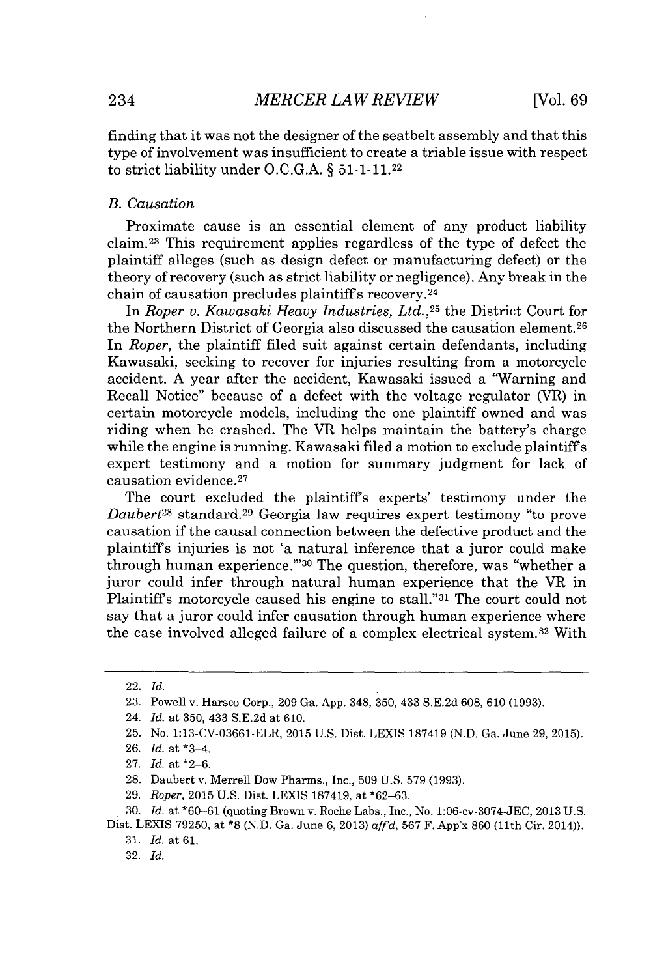finding that it was not the designer of the seatbelt assembly and that this type of involvement was insufficient to create a triable issue with respect to strict liability under **O.C.G.A.** *§* **51-1-11.22**

#### *B. Causation*

Proximate cause is an essential element of any product liability claim. <sup>23</sup>This requirement applies regardless of the type of defect the plaintiff alleges (such as design defect or manufacturing defect) or the theory of recovery (such as strict liability or negligence). Any break in the chain of causation precludes plaintiff's recovery.<sup>24</sup>

In *Roper v. Kawasaki Heavy Industries, Ltd.,25* the District Court for the Northern District of Georgia also discussed the causation element. <sup>26</sup> In *Roper,* the plaintiff filed suit against certain defendants, including Kawasaki, seeking to recover for injuries resulting from a motorcycle accident. **A** year after the accident, Kawasaki issued a "Warning and Recall Notice" because of a defect with the voltage regulator (VR) in certain motorcycle models, including the one plaintiff owned and was riding when he crashed. The VR helps maintain the battery's charge while the engine is running. Kawasaki filed a motion to exclude plaintiffs expert testimony and a motion for summary judgment for lack of causation evidence.<sup>27</sup>

The court excluded the plaintiffs experts' testimony under the *Daubert<sup>28</sup>* standard.<sup>29</sup> Georgia law requires expert testimony "to prove causation if the causal connection between the defective product and the plaintiffs injuries is not 'a natural inference that a juror could make through human experience." 30 The question, therefore, was "whether a juror could infer through natural human experience that the VR in Plaintiff's motorcycle caused his engine to stall."<sup>31</sup> The court could not say that a juror could infer causation through human experience where the case involved alleged failure of a complex electrical system.<sup>32</sup> With

**32.** *Id.*

<sup>22.</sup> *Id.*

**<sup>23.</sup>** Powell v. Harsco Corp., **209** Ga. **App.** 348, **350,** 433 **S.E.2d 608, 610 (1993).**

<sup>24.</sup> *Id.* at **350,** 433 **S.E.2d** at **610.**

**<sup>25.</sup>** No. **1:13-CV-03661-ELR, 2015 U.S.** Dist. **LEXIS 187419 (N.D.** Ga. June **29, 2015).**

**<sup>26.</sup>** *Id.* at \*3-4.

**<sup>27.</sup>** *Id.* at **\*2-6.**

**<sup>28.</sup>** Daubert v. Merrell Dow Pharms., Inc., **509 U.S. 579 (1993).**

**<sup>29.</sup>** *Roper,* **2015 U.S.** Dist. LEXIS **187419,** at **\*62-63.**

**<sup>30.</sup>** *Id.* at **\*60-61** (quoting Brown v. Roche Labs., Inc., No. 1:06-cv-3074-JEC, **2013 U.S.** Dist. LEXIS **79250,** at **\*8 (N.D.** Ga. June **6, 2013)** *aff'd,* **567** F. App'x **860** (11th Cir. 2014)).

**<sup>31.</sup>** *Id.* at **61.**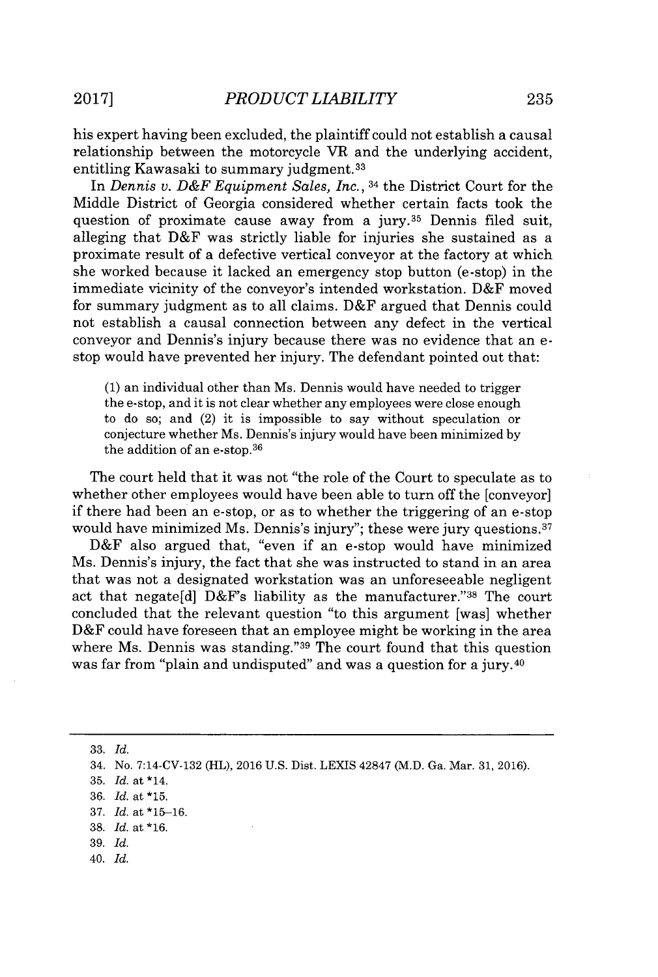his expert having been excluded, the plaintiff could not establish a causal relationship between the motorcycle VR and the underlying accident, entitling Kawasaki to summary judgment.<sup>33</sup>

In *Dennis v. D&F Equipment Sales, Inc.,* 34 the District Court for the Middle District of Georgia considered whether certain facts took the question of proximate cause away from a jury.<sup>35</sup> Dennis filed suit, alleging that D&F was strictly liable for injuries she sustained as a proximate result of a defective vertical conveyor at the factory at which she worked because it lacked an emergency stop button (e-stop) in the immediate vicinity of the conveyor's intended workstation. D&F moved for summary judgment as to all claims. D&F argued that Dennis could not establish a causal connection between any defect in the vertical conveyor and Dennis's injury because there was no evidence that an estop would have prevented her injury. The defendant pointed out that:

**(1)** an individual other than Ms. Dennis would have needed to trigger the e-stop, and it is not clear whether any employees were close enough to do so; and (2) it is impossible to say without speculation or conjecture whether Ms. Dennis's injury would have been minimized **by** the addition of an e-stop.<sup>36</sup>

The court held that it was not "the role of the Court to speculate as to whether other employees would have been able to turn off the [conveyor] if there had been an e-stop, or as to whether the triggering of an e-stop would have minimized Ms. Dennis's injury"; these were jury questions.<sup>37</sup>

D&F also argued that, "even if an e-stop would have minimized Ms. Dennis's injury, the fact that she was instructed to stand in an area that was not a designated workstation was an unforeseeable negligent act that negate[d]  $D&F$ 's liability as the manufacturer."38 The court concluded that the relevant question "to this argument [was] whether D&F could have foreseen that an employee might be working in the area where Ms. Dennis was standing."<sup>39</sup> The court found that this question was far from "plain and undisputed" and was a question for a jury.<sup>40</sup>

**33.** *Id.*

40. *Id.*

<sup>34.</sup> No. 7:14-CV-132 (HL), **2016 U.S.** Dist. LEXIS 42847 (M.D. Ga. Mar. **31, 2016).**

**<sup>35.</sup>** *Id.* at \*14.

**<sup>36.</sup>** *Id.* at **\*15.**

**<sup>37.</sup>** *Id.* at **\*15-16.**

**<sup>38.</sup>** *Id.* at **\*16.**

**<sup>39.</sup>** *Id.*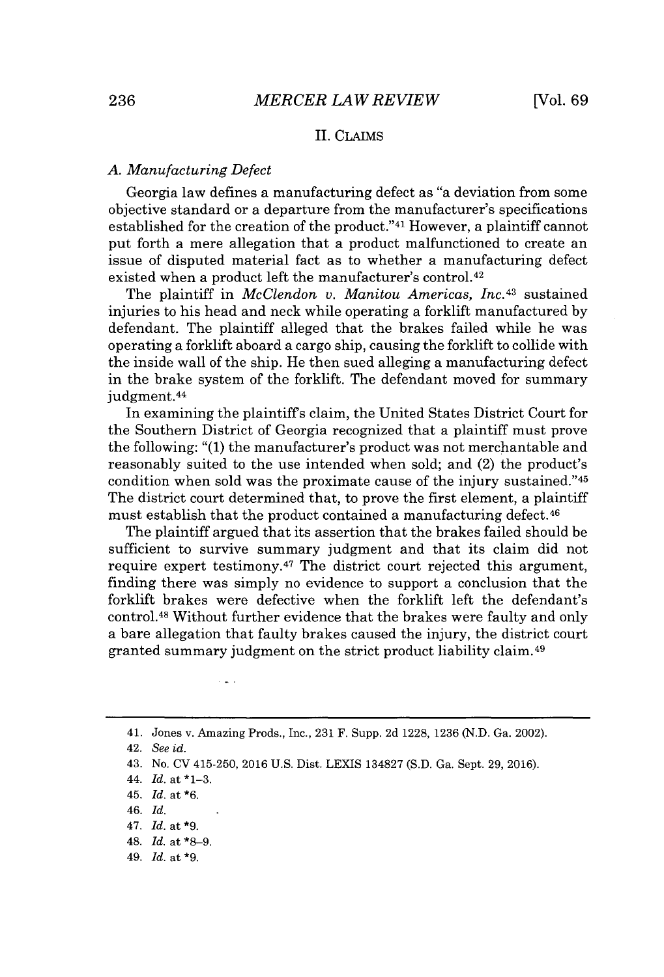## II. CLAIMS

#### *A. Manufacturing Defect*

Georgia law defines a manufacturing defect as "a deviation from some objective standard or a departure from the manufacturer's specifications established for the creation of the product."<sup>41</sup> However, a plaintiff cannot put forth a mere allegation that a product malfunctioned to create an issue of disputed material fact as to whether a manufacturing defect existed when a product left the manufacturer's control.<sup>42</sup>

The plaintiff in *McClendon v. Manitou Americas, Inc. <sup>43</sup>*sustained injuries to his head and neck while operating a forklift manufactured **by** defendant. The plaintiff alleged that the brakes failed while he was operating a forklift aboard a cargo ship, causing the forklift to collide with the inside wall of the ship. He then sued alleging a manufacturing defect in the brake system of the forklift. The defendant moved for summary judgment.<sup>44</sup>

In examining the plaintiffs claim, the United States District Court for the Southern District of Georgia recognized that a plaintiff must prove the following: **"(1)** the manufacturer's product was not merchantable and reasonably suited to the use intended when sold; and (2) the product's condition when sold was the proximate cause of the injury sustained."<sup>45</sup> The district court determined that, to prove the first element, a plaintiff must establish that the product contained a manufacturing defect.<sup>46</sup>

The plaintiff argued that its assertion that the brakes failed should be sufficient to survive summary judgment and that its claim did not require expert testimony.<sup>47</sup> The district court rejected this argument, finding there was simply no evidence to support a conclusion that the forklift brakes were defective when the forklift left the defendant's control.<sup>48</sup>Without further evidence that the brakes were faulty and only a bare allegation that faulty brakes caused the injury, the district court granted summary judgment on the strict product liability claim. <sup>49</sup>

<sup>41.</sup> Jones v. Amazing Prods., Inc., **231** F. Supp. **2d 1228, 1236 (N.D.** Ga. 2002).

<sup>42.</sup> *See id.*

<sup>43.</sup> No. **CV** 415-250, **2016 U.S.** Dist. LEXIS **134827 (S.D.** Ga. Sept. **29, 2016).**

<sup>44.</sup> *Id.* at **\*1-3.**

<sup>45.</sup> *Id.* at **\*6.**

*<sup>46.</sup> Id.*

<sup>47.</sup> *Id.* at **\*9.**

<sup>48.</sup> *Id.* at **\*8-9.**

*<sup>49.</sup> Id.* at **\*9.**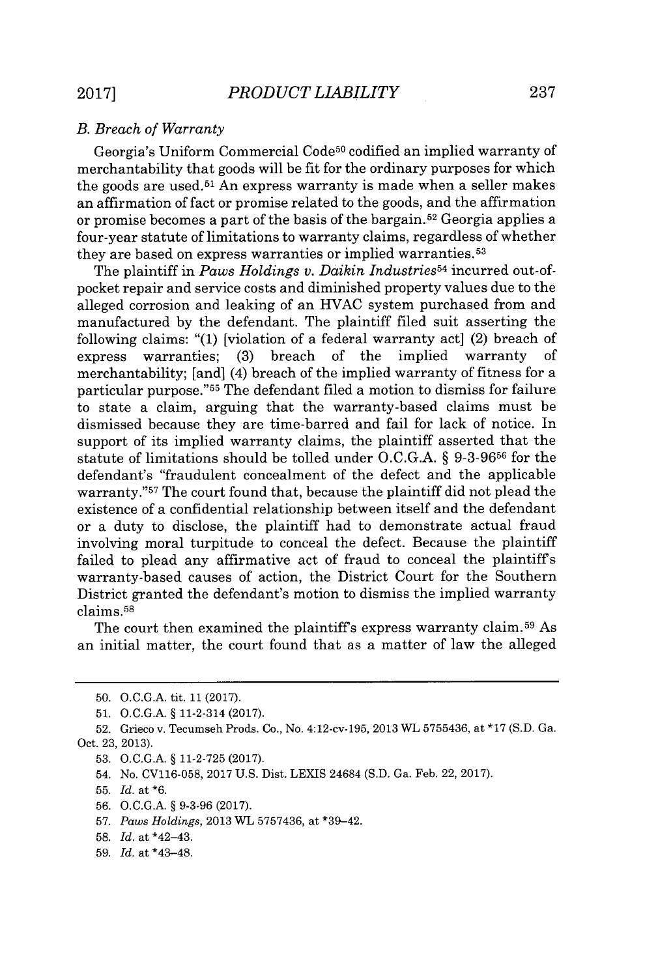## *B. Breach of Warranty*

Georgia's Uniform Commercial Code<sup>50</sup> codified an implied warranty of merchantability that goods will be fit for the ordinary purposes for which the goods are used.<sup>51</sup> An express warranty is made when a seller makes an affirmation of fact or promise related to the goods, and the affirmation or promise becomes a part of the basis of the bargain. <sup>52</sup>Georgia applies a four-year statute of limitations to warranty claims, regardless of whether they are based on express warranties or implied warranties.<sup>53</sup>

The plaintiff in *Paws Holdings v. Daikin IndustrieS54* incurred out-ofpocket repair and service costs and diminished property values due to the alleged corrosion and leaking of an **HVAC** system purchased from and manufactured **by** the defendant. The plaintiff filed suit asserting the following claims: **"(1)** [violation of a federal warranty act] (2) breach of express warranties; (3) breach of the implied warranty merchantability; [and] (4) breach of the implied warranty of fitness for a particular purpose."<sup>55</sup> The defendant filed a motion to dismiss for failure to state a claim, arguing that the warranty-based claims must be dismissed because they are time-barred and fail for lack of notice. In support of its implied warranty claims, the plaintiff asserted that the statute of limitations should be tolled under **O.C.G.A. § 9-3-9656** for the defendant's "fraudulent concealment of the defect and the applicable warranty."<sup>57</sup> The court found that, because the plaintiff did not plead the existence of a confidential relationship between itself and the defendant or a duty to disclose, the plaintiff had to demonstrate actual fraud involving moral turpitude to conceal the defect. Because the plaintiff failed to plead any affirmative act of fraud to conceal the plaintiffs warranty-based causes of action, the District Court for the Southern District granted the defendant's motion to dismiss the implied warranty claims.<sup>55</sup>

The court then examined the plaintiff's express warranty claim.<sup>59</sup> As an initial matter, the court found that as a matter of law the alleged

- **53. O.C.G.A. § 11-2-725 (2017).**
- 54. No. **CV116-058, 2017 U.S.** Dist. LEXIS 24684 **(S.D.** Ga. Feb. 22, **2017).**
- **55.** *Id.* at **\*6.**
- **56. O.C.G.A. § 9-3-96 (2017).**
- **57.** *Paws Holdings,* **2013** WL **5757436,** at \*39-42.
- **58.** *Id.* at \*42-43.
- **59.** *Id.* at \*43-48.

**<sup>50.</sup> O.C.G.A.** tit. **11 (2017).**

**<sup>51.</sup> O.C.G.A. §** 11-2-314 **(2017).**

**<sup>52.</sup>** Grieco v. Tecumseh Prods. Co., No. 4:12-cv-195, 2013 WL **5755436,** at **\*17 (S.D.** Ga. Oct. **23, 2013).**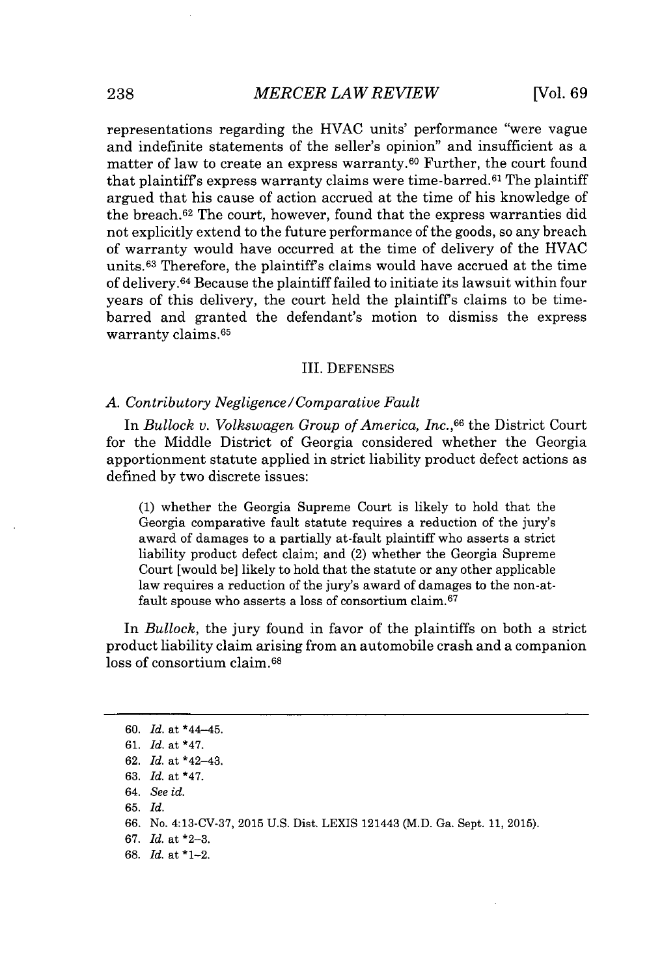representations regarding the **HVAC** units' performance "were vague and indefinite statements of the seller's opinion" and insufficient as a matter of law to create an express warranty.<sup>60</sup> Further, the court found that plaintiff's express warranty claims were time-barred.<sup>61</sup> The plaintiff argued that his cause of action accrued at the time of his knowledge of the breach.<sup>62</sup> The court, however, found that the express warranties did not explicitly extend to the future performance of the goods, so any breach of warranty would have occurred at the time of delivery of the **HVAC** units. <sup>63</sup>Therefore, the plaintiffs claims would have accrued at the time of delivery.<sup>64</sup> Because the plaintiff failed to initiate its lawsuit within four years of this delivery, the court held the plaintiffs claims to be timebarred and granted the defendant's motion to dismiss the express warranty claims.<sup>65</sup>

#### III. **DEFENSES**

#### *A. Contributory Negligence/Comparative Fault*

In *Bullock v. Volkswagen Group of America, Inc.,<sup>66</sup>*the District Court for the Middle District of Georgia considered whether the Georgia apportionment statute applied in strict liability product defect actions as defined **by** two discrete issues:

**(1)** whether the Georgia Supreme Court is likely to hold that the Georgia comparative fault statute requires a reduction of the jury's award of damages to a partially at-fault plaintiff who asserts a strict liability product defect claim; and (2) whether the Georgia Supreme Court [would be] likely to hold that the statute or any other applicable law requires a reduction of the jury's award of damages to the non-atfault spouse who asserts a loss of consortium claim.<sup>67</sup>

In *Bullock,* the jury found in favor of the plaintiffs on both a strict product liability claim arising from an automobile crash and a companion loss of consortium claim.<sup>68</sup>

**67.** *Id.* at **\*2-3.**

**68.** *Id.* at \*1-2.

**<sup>60.</sup>** *Id.* at \*44-45.

**<sup>61.</sup>** *Id.* at \*47.

**<sup>62.</sup>** *Id.* at **\*42-43.**

**<sup>63.</sup>** *Id.* at \*47.

*<sup>64.</sup> See id.*

**<sup>65.</sup>** *Id.*

**<sup>66.</sup>** No. **4:13-CV-37, 2015 U.S.** Dist. LEXIS 121443 (M.D. Ga. Sept. **11, 2015).**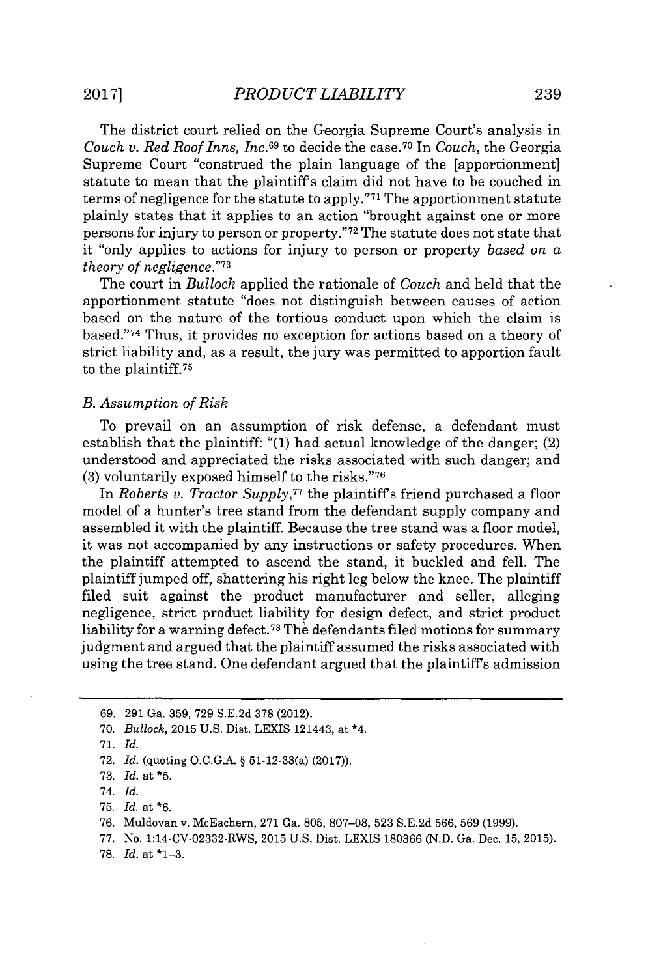The district court relied on the Georgia Supreme Court's analysis in *Couch v. Red Roof Inns, Inc.*<sup>69</sup> to decide the case.<sup>70</sup> In *Couch*, the Georgia Supreme Court "construed the plain language of the [apportionment] statute to mean that the plaintiffs claim did not have to be couched in terms of negligence for the statute to apply."<sup>71</sup> The apportionment statute plainly states that it applies to an action "brought against one or more persons for injury to person or property."<sup>72</sup> The statute does not state that it "only applies to actions for injury to person or property *based on a theory of negligence."<sup>73</sup>*

The court in *Bullock* applied the rationale of *Couch* and held that the apportionment statute "does not distinguish between causes of action based on the nature of the tortious conduct upon which the claim is based." <sup>74</sup>Thus, it provides no exception for actions based on a theory of strict liability and, as a result, the jury was permitted to apportion fault to the plaintiff.<sup>75</sup>

#### *B. Assumption of Risk*

To prevail on an assumption of risk defense, a defendant must establish that the plaintiff: **"(1)** had actual knowledge of the danger; (2) understood and appreciated the risks associated with such danger; and **(3)** voluntarily exposed himself to the risks."<sup>76</sup>

*In Roberts v. Tractor Supply,<sup>77</sup>*the plaintiffs friend purchased a floor model of a hunter's tree stand from the defendant supply company and assembled it with the plaintiff. Because the tree stand was a floor model, it was not accompanied **by** any instructions or safety procedures. When the plaintiff attempted to ascend the stand, it buckled and fell. The plaintiff jumped off, shattering his right leg below the knee. The plaintiff filed suit against the product manufacturer and seller, alleging negligence, strict product liability for design defect, and strict product liability for a warning defect.<sup>78</sup>The defendants filed motions for summary judgment and argued that the plaintiff assumed the risks associated with using the tree stand. One defendant argued that the plaintiffs admission

**78.** *Id.* at **\*1-3.**

**<sup>69. 291</sup>** Ga. **359, 729 S.E.2d 378** (2012).

**<sup>70.</sup>** *Bullock,* **2015 U.S.** Dist. LEXIS 121443, at \*4.

**<sup>71.</sup>** *Id.*

**<sup>72.</sup>** *Id.* (quoting **O.C.G.A.** *§* 51-12-33(a) **(2017)).**

**<sup>73.</sup>** *Id. at* **\*5.**

<sup>74.</sup> *Id.*

**<sup>75.</sup>** *Id. at \*6.*

**<sup>76.</sup>** Muldovan v. McEachern, **271** Ga. **805, 807-08, 523 S.E.2d 566, 569 (1999).**

**<sup>77.</sup>** No. 1:14-CV-02332-RWS, **2015 U.S.** Dist. **LEXIS 180366 (N.D.** Ga. Dec. **15, 2015).**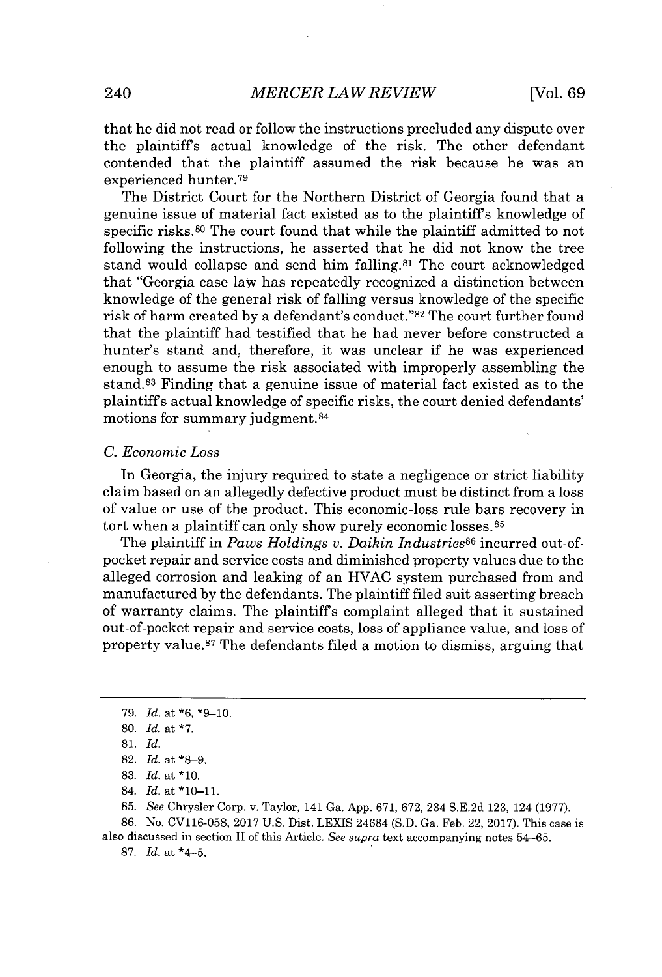that he did not read or follow the instructions precluded any dispute over the plaintiffs actual knowledge of the risk. The other defendant contended that the plaintiff assumed the risk because he was an experienced hunter.<sup>79</sup>

The District Court for the Northern District of Georgia found that a genuine issue of material fact existed as to the plaintiffs knowledge of specific risks.<sup>80</sup> The court found that while the plaintiff admitted to not following the instructions, he asserted that he did not know the tree stand would collapse and send him falling.<sup>81</sup> The court acknowledged that "Georgia case law has repeatedly recognized a distinction between knowledge of the general risk of falling versus knowledge of the specific risk of harm created by a defendant's conduct."<sup>82</sup> The court further found that the plaintiff had testified that he had never before constructed a hunter's stand and, therefore, it was unclear if he was experienced enough to assume the risk associated with improperly assembling the stand.<sup>83</sup>Finding that a genuine issue of material fact existed as to the plaintiffs actual knowledge of specific risks, the court denied defendants' motions for summary judgment.<sup>84</sup>

#### *C. Economic Loss*

In Georgia, the injury required to state a negligence or strict liability claim based on an allegedly defective product must be distinct from a loss of value or use of the product. This economic-loss rule bars recovery in tort when a plaintiff can only show purely economic losses.<sup>85</sup>

The plaintiff in *Paws Holdings v. Daikin Industries*<sup>86</sup> incurred out-ofpocket repair and service costs and diminished property values due to the alleged corrosion and leaking of an **HVAC** system purchased from and manufactured **by** the defendants. The plaintiff filed suit asserting breach of warranty claims. The plaintiffs complaint alleged that it sustained out-of-pocket repair and service costs, loss of appliance value, and loss of property value.<sup>87</sup>The defendants filed a motion to dismiss, arguing that

**85.** *See* Chrysler Corp. v. Taylor, 141 Ga. **App. 671, 672,** 234 **S.E.2d 123,** 124 **(1977).**

**86.** No. **CV116-058, 2017 U.S.** Dist. LEXIS 24684 **(S.D.** Ga. Feb. 22, **2017).** This case is also discussed in section II of this Article. *See supra* text accompanying notes **54-65.**

**87.** *Id.* at \*4-5.

**<sup>79.</sup>** *Id.* at **\*6, \*9-10.**

**<sup>80.</sup>** *Id.* at **\*7.**

**<sup>81.</sup>** *Id.*

**<sup>82.</sup>** *Id.* at **\*8-9.**

**<sup>83.</sup>** *Id. at* **\*10.**

<sup>84.</sup> *Id.* at **\*10-11.**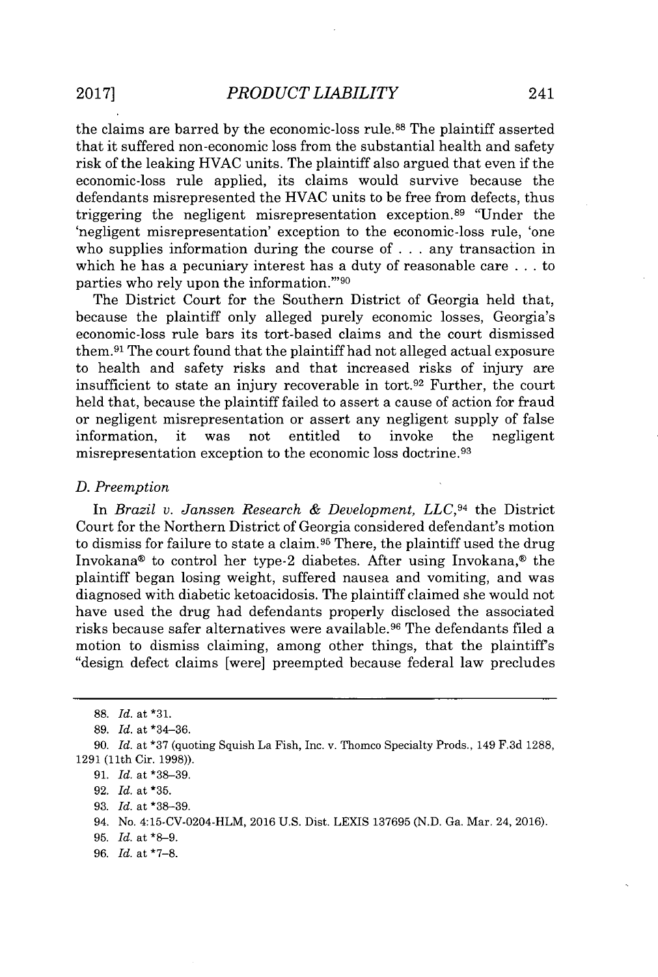the claims are barred **by** the economic-loss rule.<sup>88</sup>The plaintiff asserted that it suffered non-economic loss from the substantial health and safety risk of the leaking **HVAC** units. The plaintiff also argued that even if the economic-loss rule applied, its claims would survive because the defendants misrepresented the **HVAC** units to be free from defects, thus triggering the negligent misrepresentation exception.<sup>89</sup> "Under the 'negligent misrepresentation' exception to the economic-loss rule, 'one who supplies information during the course of **.** . **.** any transaction in which he has a pecuniary interest has a duty of reasonable care **.** . **.** to parties who rely upon the information."<sup>90</sup>

The District Court for the Southern District of Georgia held that, because the plaintiff only alleged purely economic losses, Georgia's economic-loss rule bars its tort-based claims and the court dismissed them.<sup>91</sup> The court found that the plaintiff had not alleged actual exposure to health and safety risks and that increased risks of injury are insufficient to state an injury recoverable in tort.<sup>92</sup> Further, the court held that, because the plaintiff failed to assert a cause of action for fraud or negligent misrepresentation or assert any negligent supply of false information, it was not entitled to invoke the negligent misrepresentation exception to the economic loss doctrine. <sup>93</sup>

#### *D. Preemption*

In *Brazil v. Janssen Research & Development, LLC,94* the District Court for the Northern District of Georgia considered defendant's motion to dismiss for failure to state a claim.<sup>95</sup> There, the plaintiff used the drug Invokana@ to control her type-2 diabetes. After using Invokana,® the plaintiff began losing weight, suffered nausea and vomiting, and was diagnosed with diabetic ketoacidosis. The plaintiff claimed she would not have used the drug had defendants properly disclosed the associated risks because safer alternatives were available.<sup>96</sup> The defendants filed a motion to dismiss claiming, among other things, that the plaintiffs "design defect claims [were] preempted because federal law precludes

*96. Id.* at **\*7-8.**

**<sup>88.</sup>** *Id.* at **\*31.**

**<sup>89.</sup>** *Id.* at \*34-36.

**<sup>90.</sup>** *Id.* at **\*37** (quoting Squish La Fish, Inc. v. Thomco Specialty Prods., 149 **F.3d 1288, 1291** (11th Cir. **1998)).**

**<sup>91.</sup>** *Id.* at **\*38-39.**

**<sup>92.</sup>** *Id.* at **\*35.**

**<sup>93.</sup>** *Id.* at **\*38-39.**

<sup>94.</sup> No. 4:15-CV-0204-HLM, **2016 U.S.** Dist. **LEXIS 137695 (N.D.** Ga. Mar. 24, **2016).**

**<sup>95.</sup>** *Id.* at **\*8-9.**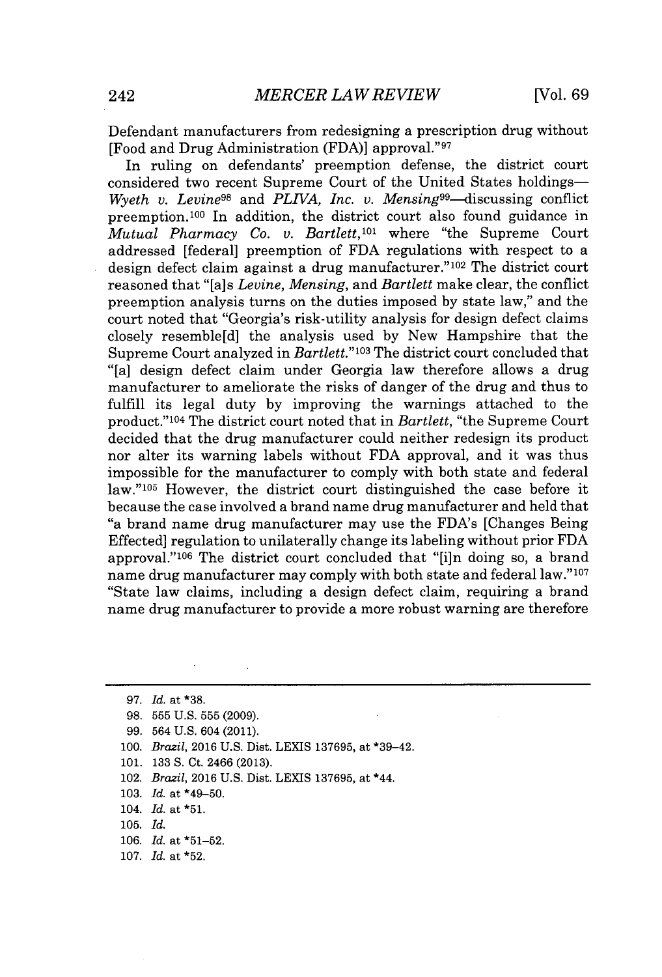Defendant manufacturers from redesigning a prescription drug without **[Food and Drug Administration (FDA)] approval."97** 

In ruling on defendants' preemption defense, the district court considered two recent Supreme Court of the United States holdings-*Wyeth v. Levine<sup>98</sup>* and *PLIVA, Inc. v. Mensing<sup>99</sup>*-discussing conflict preemption.<sup>100</sup> In addition, the district court also found guidance in *Mutual Pharmacy Co. v. Bartlett*,<sup>101</sup> where "the Supreme Court" addressed [federal] preemption of **FDA** regulations with respect to a design defect claim against a drug manufacturer." $102$  The district court reasoned that "[a]s *Levine, Mensing, and Bartlett* make clear, the conflict preemption analysis turns on the duties imposed **by** state law," and the court noted that "Georgia's risk-utility analysis for design defect claims closely resemble[d] the analysis used **by** New Hampshire that the Supreme Court analyzed in *Bartlett."103* The district court concluded that "[a] design defect claim under Georgia law therefore allows a drug manufacturer to ameliorate the risks of danger of the drug and thus to fulfill its legal duty **by** improving the warnings attached to the product."<sup>104</sup> The district court noted that in *Bartlett*, "the Supreme Court decided that the drug manufacturer could neither redesign its product nor alter its warning labels without **FDA** approval, and it was thus impossible for the manufacturer to comply with both state and federal law."<sup>105</sup> However, the district court distinguished the case before it because the case involved a brand name drug manufacturer and held that "a brand name drug manufacturer may use the FDA's [Changes Being Effected] regulation to unilaterally change its labeling without prior **FDA** approval."<sup>106</sup> The district court concluded that " $[i]$ n doing so, a brand name drug manufacturer may comply with both state and federal law."107 "State law claims, including a design defect claim, requiring a brand name drug manufacturer to provide a more robust warning are therefore

- **99.** 564 **U.S.** 604 (2011).
- **100.** *Brazil,* **2016 U.S.** Dist. LEXIS **137695,** at \*39-42.
- **101. 133 S.** Ct. 2466 **(2013).**
- 102. *Brazil,* **2016 U.S.** Dist. LEXIS **137695,** at \*44.
- **103.** *Id.* at \*49-50.
- 104. *Id.* at **\*51.**
- **105.** *Id.*
- **106.** *Id.* at **\*51-52.**
- **107.** *Id.* at **\*52.**

*<sup>97.</sup> Id. at* **\*38.**

**<sup>98. 555</sup> U.S. 555 (2009).**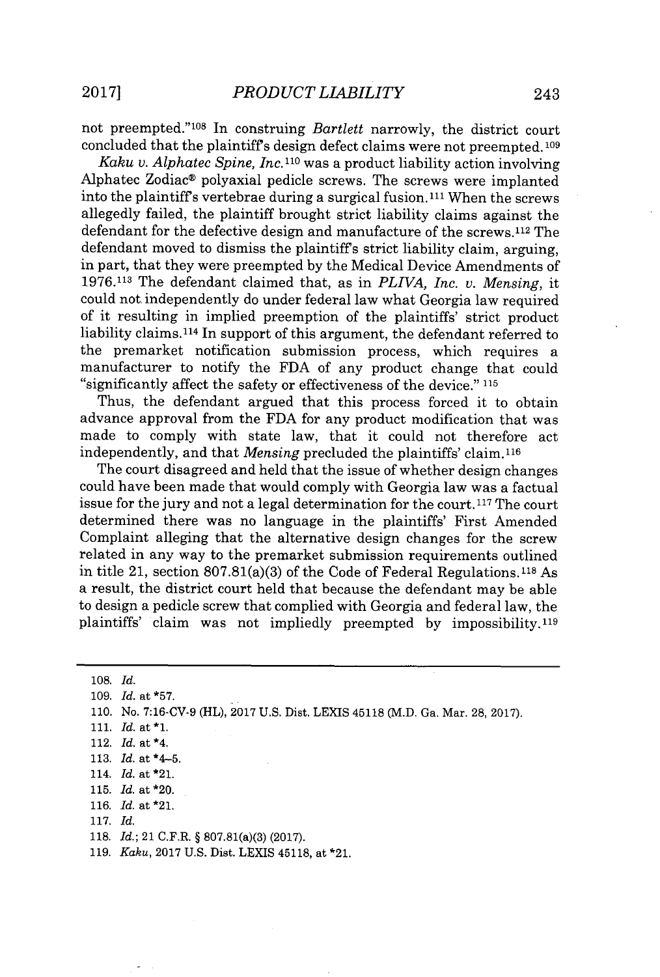not preempted."<sup>108</sup> In construing *Bartlett* narrowly, the district court concluded that the plaintiffs design defect claims were not preempted. **<sup>109</sup>**

*Kaku v. Alphatec Spine, Inc.*<sup>110</sup> was a product liability action involving Alphatec Zodiac® polyaxial pedicle screws. The screws were implanted into the plaintiff's vertebrae during a surgical fusion.<sup>111</sup> When the screws allegedly failed, the plaintiff brought strict liability claims against the defendant for the defective design and manufacture of the screws.<sup>112</sup> The defendant moved to dismiss the plaintiffs strict liability claim, arguing, in part, that they were preempted **by** the Medical Device Amendments of **1976.113** The defendant claimed that, as in *PLIVA, Inc. v. Mensing,* it could not. independently do under federal law what Georgia law required of it resulting in implied preemption of the plaintiffs' strict product liability claims.114 In support of this argument, the defendant referred to the premarket notification submission process, which requires a manufacturer to notify the **FDA** of any product change that could "significantly affect the safety or effectiveness of the device." **<sup>115</sup>**

Thus, the defendant argued that this process forced it to obtain advance approval from the **FDA** for any product modification that was made to comply with state law, that it could not therefore act independently, and that *Mensing* precluded the plaintiffs' claim.116

The court disagreed and held that the issue of whether design changes could have been made that would comply with Georgia law was a factual issue for the jury and not a legal determination for the court.<sup>117</sup> The court determined there was no language in the plaintiffs' First Amended Complaint alleging that the alternative design changes for the screw related in any way to the premarket submission requirements outlined in title 21, section  $807.81(a)(3)$  of the Code of Federal Regulations.<sup>118</sup> As a result, the district court held that because the defendant may be able to design a pedicle screw that complied with Georgia and federal law, the plaintiffs' claim was not impliedly preempted **by** impossibility.11<sup>9</sup>

| $108.$ Id. |                                                                                |
|------------|--------------------------------------------------------------------------------|
|            | 109. $Id.$ at *57.                                                             |
|            | 110. No. 7:16-CV-9 (HL), 2017 U.S. Dist. LEXIS 45118 (M.D. Ga. Mar. 28, 2017). |
|            | 111. <i>Id.</i> at $*1$ .                                                      |
|            | 112. $Id.$ at $*4.$                                                            |
|            | 113. <i>Id.</i> at $*4-5$ .                                                    |
|            | 114. <i>Id.</i> at *21.                                                        |
|            | 115. $Id.$ at *20.                                                             |
|            | 116. $Id.$ at *21.                                                             |
| 117. $Id.$ |                                                                                |
|            | 118. <i>Id.</i> ; 21 C.F.R. § 807.81(a)(3) (2017).                             |

**119.** *Kaku,* **2017 U.S.** Dist. LEXIS 45118, at \*21.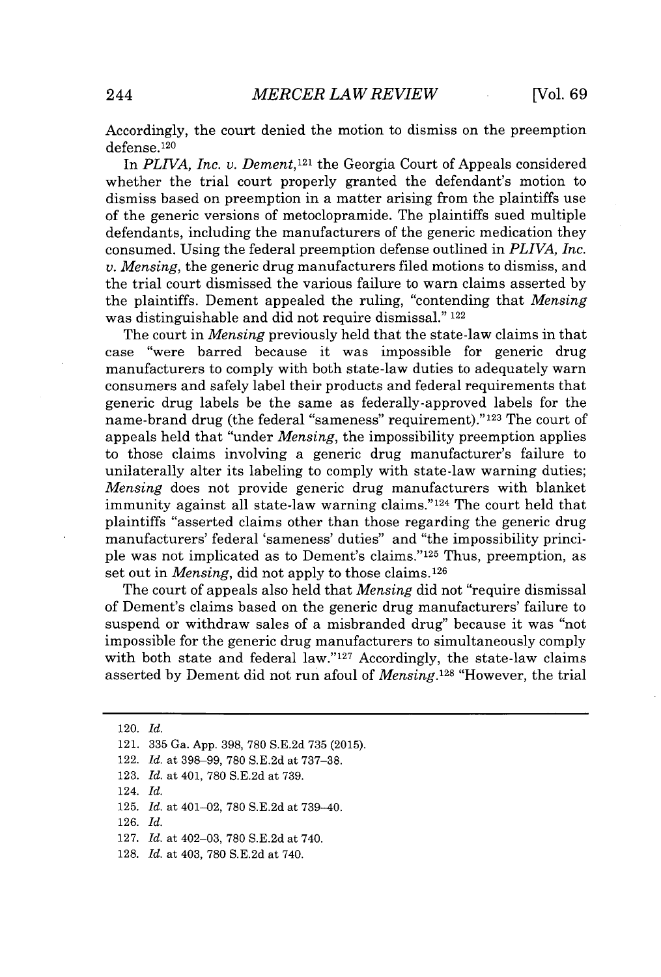Accordingly, the court denied the motion to dismiss on the preemption defense.120

In *PLIVA, Inc. v. Dement,121* the Georgia Court of Appeals considered whether the trial court properly granted the defendant's motion to dismiss based on preemption in a matter arising from the plaintiffs use of the generic versions of metoclopramide. The plaintiffs sued multiple defendants, including the manufacturers of the generic medication they consumed. Using the federal preemption defense outlined in *PLIVA, Inc. v. Mensing,* the generic drug manufacturers filed motions to dismiss, and the trial court dismissed the various failure to warn claims asserted **by** the plaintiffs. Dement appealed the ruling, "contending that *Mensing* was distinguishable and did not require dismissal." <sup>122</sup>

The court in *Mensing* previously held that the state-law claims in that case "were barred because it was impossible for generic drug manufacturers to comply with both state-law duties to adequately warn consumers and safely label their products and federal requirements that generic drug labels be the same as federally-approved labels for the name-brand drug (the federal "sameness" requirement)."<sup>123</sup> The court of appeals held that "under *Mensing,* the impossibility preemption applies to those claims involving a generic drug manufacturer's failure to unilaterally alter its labeling to comply with state-law warning duties; *Mensing* does not provide generic drug manufacturers with blanket immunity against all state-law warning claims."124 The court held that plaintiffs "asserted claims other than those regarding the generic drug manufacturers' federal 'sameness' duties" and "the impossibility principle was not implicated as to Dement's claims."<sup>125</sup> Thus, preemption, as set out in *Mensing*, did not apply to those claims.<sup>126</sup>

The court of appeals also held that *Mensing* did not "require dismissal of Dement's claims based on the generic drug manufacturers' failure to suspend or withdraw sales of a misbranded drug" because it was "not impossible for the generic drug manufacturers to simultaneously comply with both state and federal law." $127$  Accordingly, the state-law claims asserted **by** Dement did not run afoul of *Mensing.1<sup>28</sup>*"However, the trial

- 122. *Id.* at **398-99, 780 S.E.2d** at **737-38.**
- **123.** *Id.* at 401, **780 S.E.2d** at **739.**
- 124. *Id.*
- **125.** *Id.* at 401-02, **780 S.E.2d** at **739-40.**
- **126.** *Id.*
- **127.** *Id.* at 402-03, **780 S.E.2d** at 740.
- **128.** *Id.* at 403, **780 S.E.2d** at 740.

<sup>120.</sup> *Id.*

<sup>121.</sup> **335** Ga. **App. 398, 780 S.E.2d 735 (2015).**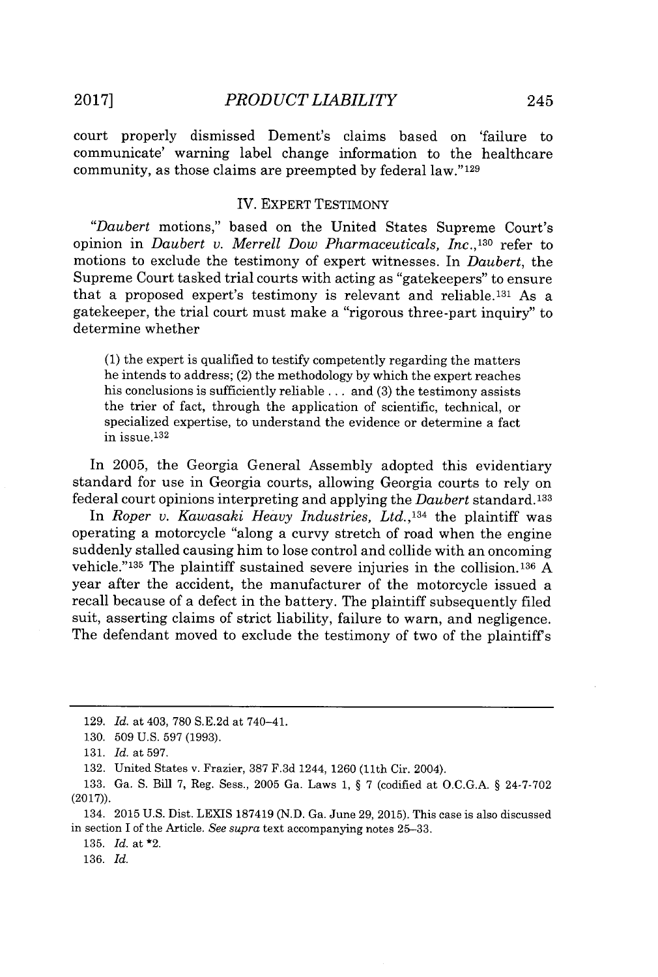court properly dismissed Dement's claims based on 'failure to communicate' warning label change information to the healthcare community, as those claims are preempted **by** federal law." <sup>129</sup>

## IV. EXPERT TESTIMONY

*"Daubert* motions," based on the United States Supreme Court's opinion in *Daubert v. Merrell Dow Pharmaceuticals, Inc.,'1<sup>30</sup>*refer to motions to exclude the testimony of expert witnesses. In *Daubert,* the Supreme Court tasked trial courts with acting as "gatekeepers" to ensure that a proposed expert's testimony is relevant and reliable.<sup>131</sup> As a gatekeeper, the trial court must make a "rigorous three-part inquiry" to determine whether

**(1)** the expert is qualified to testify competently regarding the matters he intends to address; (2) the methodology **by** which the expert reaches his conclusions is sufficiently reliable **.** . **.** and **(3)** the testimony assists the trier of fact, through the application of scientific, technical, or specialized expertise, to understand the evidence or determine a fact in issue. <sup>132</sup>

In **2005,** the Georgia General Assembly adopted this evidentiary standard for use in Georgia courts, allowing Georgia courts to rely on federal court opinions interpreting and applying the *Daubert* standard. <sup>133</sup>

In *Roper v. Kawasaki Heavy Industries, Ltd.,134* the plaintiff was operating a motorcycle "along a curvy stretch of road when the engine suddenly stalled causing him to lose control and collide with an oncoming vehicle."<sup>135</sup> The plaintiff sustained severe injuries in the collision.<sup>136</sup> A year after the accident, the manufacturer of the motorcycle issued a recall because of a defect in the battery. The plaintiff subsequently filed suit, asserting claims of strict liability, failure to warn, and negligence. The defendant moved to exclude the testimony of two of the plaintiffs

134. **2015 U.S.** Dist. LEXIS **187419 (N.D.** Ga. June **29, 2015).** This case is also discussed in section I of the Article. *See supra* text accompanying notes **25-33.**

**135.** *Id.* at \*2.

**136.** *Id.*

**<sup>129.</sup>** *Id.* at 403, **780 S.E.2d** at 740-41.

**<sup>130. 509</sup> U.S. 597 (1993).**

**<sup>131.</sup>** *Id.* at **597.**

**<sup>132.</sup>** United States v. Frazier, **387 F.3d** 1244, **1260** (11th Cir. 2004).

**<sup>133.</sup>** Ga. **S.** Bill **7,** Reg. Sess., **2005** Ga. Laws **1, § 7** (codified at **O.C.G.A. § 24-7-702 (2017)).**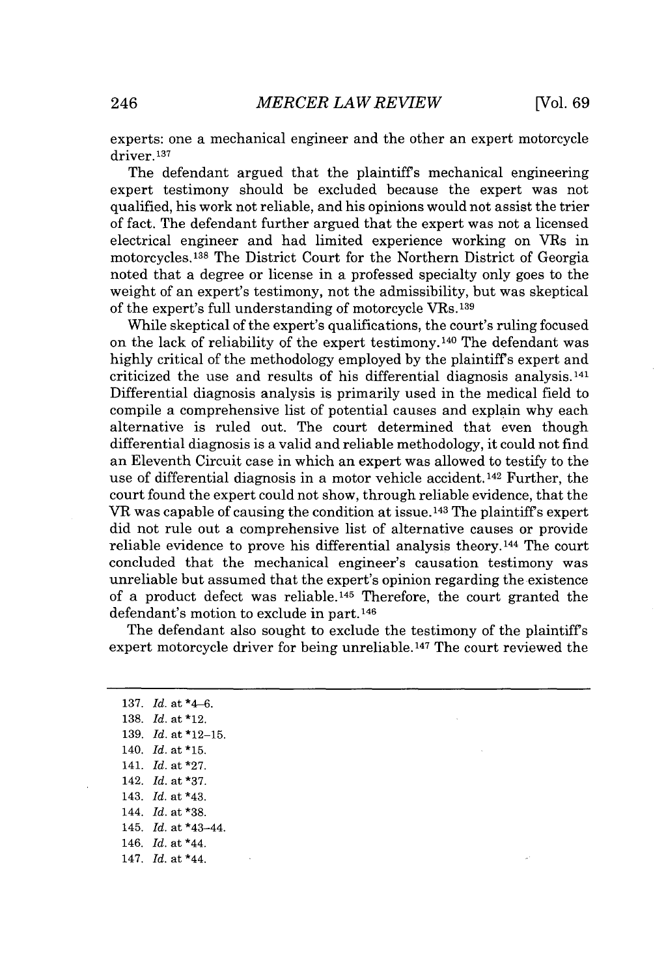experts: one a mechanical engineer and the other an expert motorcycle driver.137

The defendant argued that the plaintiffs mechanical engineering expert testimony should be excluded because the expert was not qualified, his work not reliable, and his opinions would not assist the trier of fact. The defendant further argued that the expert was not a licensed electrical engineer and had limited experience working on VRs in motorcycles.<sup>138</sup>The District Court for the Northern District of Georgia noted that a degree or license in a professed specialty only goes to the weight of an expert's testimony, not the admissibility, but was skeptical of the expert's full understanding of motorcycle **VRs.139**

While skeptical of the expert's qualifications, the court's ruling focused on the lack of reliability of the expert testimony.140 The defendant was **highly** critical of the methodology employed **by** the plaintiffs expert and criticized the use and results of his differential diagnosis analysis.<sup>141</sup> Differential diagnosis analysis is primarily used in the medical field to compile a comprehensive list of potential causes and explain why each alternative is ruled out. The court determined that even though differential diagnosis is a valid and reliable methodology, it could not find an Eleventh Circuit case in which an expert was allowed to testify to the use of differential diagnosis in a motor vehicle accident.142 Further, the court found the expert could not show, through reliable evidence, that the VR was capable of causing the condition at issue.<sup>143</sup> The plaintiff's expert did not rule out a comprehensive list of alternative causes or provide reliable evidence to prove his differential analysis theory.<sup>144</sup> The court concluded that the mechanical engineer's causation testimony was unreliable but assumed that the expert's opinion regarding the existence of a product defect was reliable.<sup>145</sup> Therefore, the court granted the defendant's motion to exclude in part.146

The defendant also sought to exclude the testimony of the plaintiffs expert motorcycle driver for being unreliable.<sup>147</sup> The court reviewed the

**137.** *Id.* at \*4-6. **138.** *Id.* at \*12. **139.** *Id.* at **\*12-15.** 140. **Id. at\*15.** 141. *Id.* at **\*27.** 142. *Id.* at **\*37.** 143. *Id.* at \*43. 144. *Id.* at **\*38.** 145. *Id.* at \*43-44. 146. *Id.* at \*44. 147. *Id.* at \*44.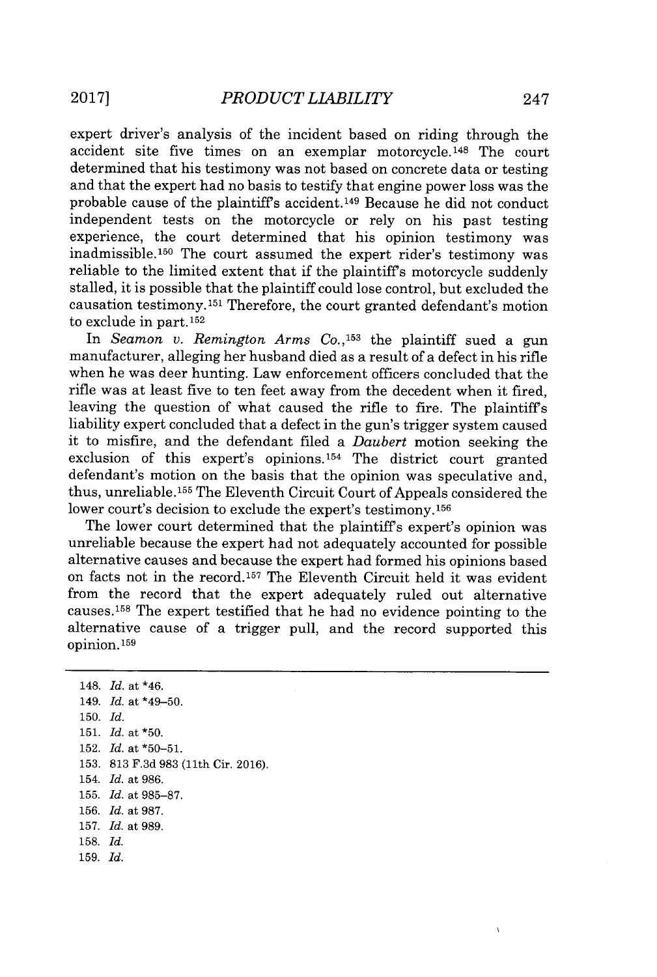expert driver's analysis of the incident based on riding through the accident site five times on an exemplar motorcycle.<sup>148</sup> The court determined that his testimony was not based on concrete data or testing and that the expert had no basis to testify that engine power loss was the probable cause of the plaintiff's accident.<sup>149</sup> Because he did not conduct independent tests on the motorcycle or rely on his past testing experience, the court determined that his opinion testimony was inadmissible.<sup>150</sup> The court assumed the expert rider's testimony was reliable to the limited extent that if the plaintiffs motorcycle suddenly stalled, it is possible that the plaintiff could lose control, but excluded the causation testimony.11 Therefore, the court granted defendant's motion to exclude in part. 152

In *Seamon v. Remington Arms* **Co.,153** the plaintiff sued a gun manufacturer, alleging her husband died as a result of a defect in his rifle when he was deer hunting. Law enforcement officers concluded that the rifle was at least five to ten feet away from the decedent when it fired, leaving the question of what caused the rifle to fire. The plaintiffs liability expert concluded that a defect in the gun's trigger system caused it to misfire, and the defendant filed a *Daubert* motion seeking the exclusion of this expert's opinions.154 The district court granted defendant's motion on the basis that the opinion was speculative and, thus, unreliable.<sup>155</sup> The Eleventh Circuit Court of Appeals considered the lower court's decision to exclude the expert's testimony.<sup>156</sup>

The lower court determined that the plaintiffs expert's opinion was unreliable because the expert had not adequately accounted for possible alternative causes and because the expert had formed his opinions based on facts not in the record.<sup>157</sup> The Eleventh Circuit held it was evident from the record that the expert adequately ruled out alternative causes.1<sup>5</sup> 8 The expert testified that he had no evidence pointing to the alternative cause of a trigger pull, and the record supported this opinion.<sup>159</sup>

148. *Id.* at *\*46.* 149. *Id.* at \*49-50. **150.** *Id.* **151.** *Id.* at **\*50. 152.** *Id.* at **\*50-51. 153. 813 F.3d 983** (11th Cir. **2016).** 154. *Id.* at **986. 155.** *Id.* at **985-87. 156.** *Id.* at **987. 157.** *Id.* at **989. 158.** *Id.* **159.** *Id.*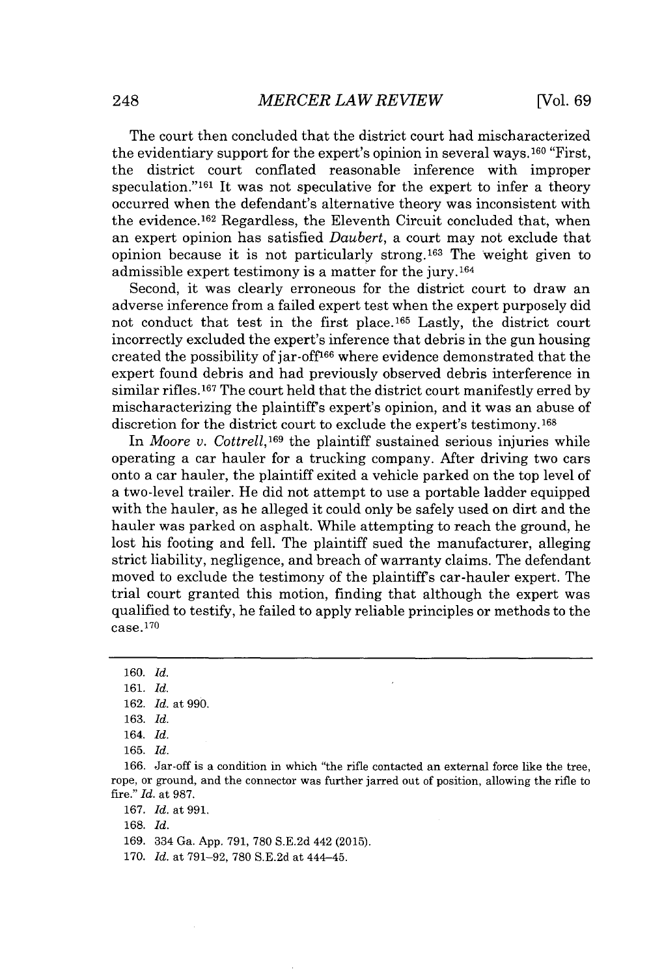The court then concluded that the district court had mischaracterized the evidentiary support for the expert's opinion in several ways. <sup>160</sup>"First, the district court conflated reasonable inference with improper speculation."<sup>161</sup> It was not speculative for the expert to infer a theory occurred when the defendant's alternative theory was inconsistent with the evidence.<sup>162</sup> Regardless, the Eleventh Circuit concluded that, when an expert opinion has satisfied *Daubert,* a court may not exclude that opinion because it is not particularly strong.<sup>163</sup> The weight given to admissible expert testimony is a matter for the jury. <sup>164</sup>

Second, it was clearly erroneous for the district court to draw an adverse inference from a failed expert test when the expert purposely did not conduct that test in the first place.<sup>165</sup> Lastly, the district court incorrectly excluded the expert's inference that debris in the gun housing created the possibility of jar-off166 where evidence demonstrated that the expert found debris and had previously observed debris interference in similar rifles.<sup>167</sup> The court held that the district court manifestly erred by mischaracterizing the plaintiffs expert's opinion, and it was an abuse of discretion for the district court to exclude the expert's testimony.<sup>168</sup>

In *Moore v. Cottrell*,<sup>169</sup> the plaintiff sustained serious injuries while operating a car hauler for a trucking company. After driving two cars onto a car hauler, the plaintiff exited a vehicle parked on the top level of a two-level trailer. He did not attempt to use a portable ladder equipped with the hauler, as he alleged it could only be safely used on dirt and the hauler was parked on asphalt. While attempting to reach the ground, he lost his footing and fell. The plaintiff sued the manufacturer, alleging strict liability, negligence, and breach of warranty claims. The defendant moved to exclude the testimony of the plaintiffs car-hauler expert. The trial court granted this motion, finding that although the expert was qualified to testify, he failed to apply reliable principles or methods to the case. **<sup>170</sup>**

**168.** *Id.*

**169.** 334 Ga. **App. 791, 780 S.E.2d** 442 **(2015).**

**170.** *Id.* at **791-92, 780 S.E.2d** at 444-45.

**<sup>160.</sup>** *Id.*

**<sup>161.</sup>** *Id.*

**<sup>162.</sup>** *Id.* at **990.**

**<sup>163.</sup>** *Id.*

<sup>164.</sup> *Id.*

**<sup>165.</sup>** *Id.*

**<sup>166.</sup>** Jar-off is a condition in which "the rifle contacted an external force like the tree, rope, or ground, and the connector was further jarred out of position, allowing the rifle to fire." *Id.* at **987.**

**<sup>167.</sup>** *Id.* at **991,**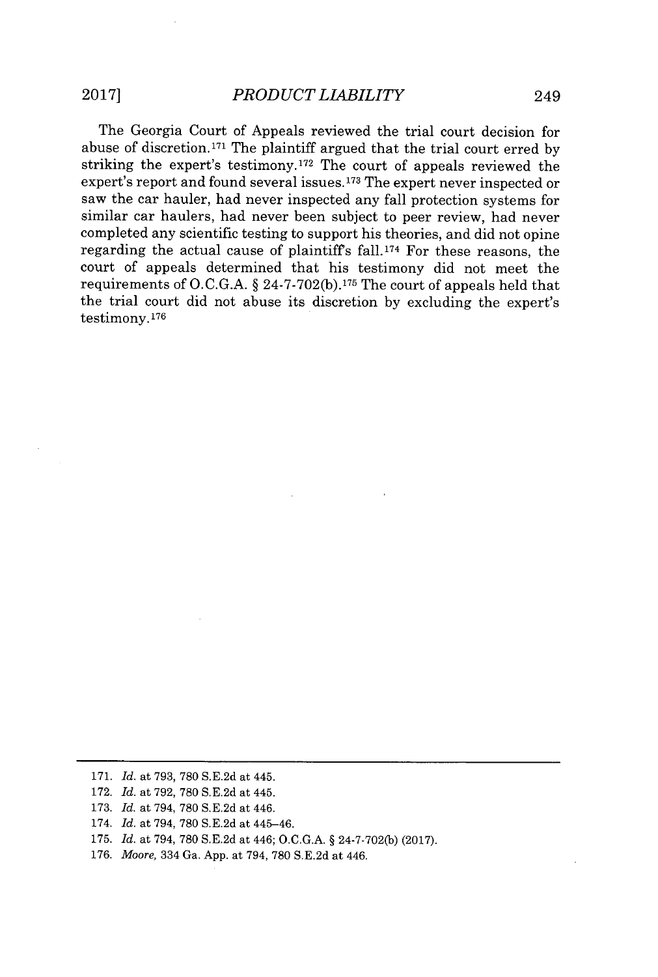The Georgia Court of Appeals reviewed the trial court decision for abuse of discretion.1<sup>7</sup> 1 The plaintiff argued that the trial court erred **by** striking the expert's testimony.<sup>172</sup> The court of appeals reviewed the expert's report and found several issues. **173** The expert never inspected or saw the car hauler, had never inspected any fall protection systems for similar car haulers, had never been subject to peer review, had never completed any scientific testing to support his theories, and did not opine regarding the actual cause of plaintiff's fall.<sup>174</sup> For these reasons, the court of appeals determined that his testimony did not meet the requirements of **O.C.G.A.** *§* **24-7-702(b).1 <sup>7</sup>5** The court of appeals held that the trial court did not abuse its discretion **by** excluding the expert's testimony.176

- **172.** *Id. at* **792, 780 S.E.2d** *at* 445.
- **173.** *Id. at 794,* **780 S.E.2d** *at 446.*
- 174. *Id. at 794,* **780 S.E.2d** *at* 445-46.
- **175.** *Id. at 794,* **780 S.E.2d** *at 446;* **O.C.G.A.** *§* **24-7-702(b) (2017).**
- **176.** *Moore,* 334 *Ga.* **App.** *at 794,* **780 S.E.2d** *at 446.*

**<sup>171.</sup>** *Id. at* **793, 780 S.E.2d** *at* 445.